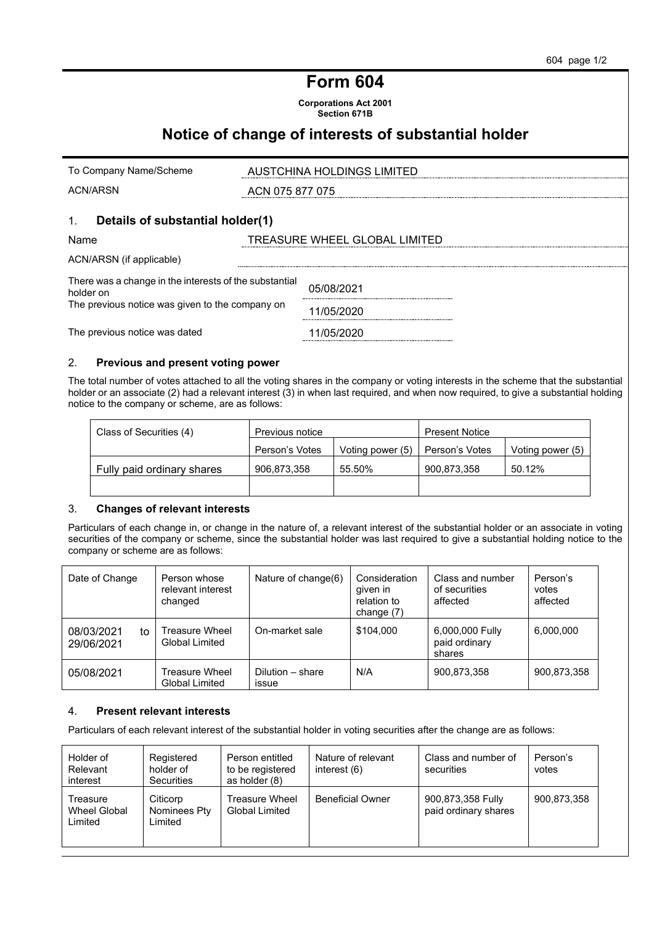# **Form 604**

**Corporations Act 2001 Section 671B**

# **Notice of change of interests of substantial holder**

| To Company Name/Scheme                                              | AUSTCHINA HOLDINGS LIMITED    |
|---------------------------------------------------------------------|-------------------------------|
| <b>ACN/ARSN</b>                                                     | ACN 075 877 075               |
| Details of substantial holder(1)<br>1.                              |                               |
| Name                                                                | TREASURE WHEEL GLOBAL LIMITED |
| ACN/ARSN (if applicable)                                            |                               |
| There was a change in the interests of the substantial<br>holder on | 05/08/2021                    |
| The previous notice was given to the company on                     | 1/05/2020                     |
| The previous notice was dated                                       | 1/05/2020                     |

# 2. **Previous and present voting power**

The total number of votes attached to all the voting shares in the company or voting interests in the scheme that the substantial holder or an associate (2) had a relevant interest (3) in when last required, and when now required, to give a substantial holding notice to the company or scheme, are as follows:

| Class of Securities (4)    | Previous notice |                  | <b>Present Notice</b> |                  |
|----------------------------|-----------------|------------------|-----------------------|------------------|
|                            | Person's Votes  | Voting power (5) | Person's Votes        | Voting power (5) |
| Fully paid ordinary shares | 906,873,358     | 55.50%           | 900.873.358           | 50.12%           |
|                            |                 |                  |                       |                  |

## 3. **Changes of relevant interests**

Particulars of each change in, or change in the nature of, a relevant interest of the substantial holder or an associate in voting securities of the company or scheme, since the substantial holder was last required to give a substantial holding notice to the company or scheme are as follows:

| Date of Change                 | Person whose<br>relevant interest<br>changed | Nature of change(6)       | Consideration<br>given in<br>relation to<br>change $(7)$ | Class and number<br>of securities<br>affected | Person's<br>votes<br>affected |
|--------------------------------|----------------------------------------------|---------------------------|----------------------------------------------------------|-----------------------------------------------|-------------------------------|
| 08/03/2021<br>to<br>29/06/2021 | Treasure Wheel<br>Global Limited             | On-market sale            | \$104.000                                                | 6,000,000 Fully<br>paid ordinary<br>shares    | 6,000,000                     |
| 05/08/2021                     | Treasure Wheel<br><b>Global Limited</b>      | Dilution - share<br>issue | N/A                                                      | 900,873,358                                   | 900,873,358                   |

# 4. **Present relevant interests**

Particulars of each relevant interest of the substantial holder in voting securities after the change are as follows:

| Holder of<br>Relevant<br>interest          | Registered<br>holder of<br><b>Securities</b> | Person entitled<br>to be registered<br>as holder (8) | Nature of relevant<br>interest (6) | Class and number of<br>securities         | Person's<br>votes |
|--------------------------------------------|----------------------------------------------|------------------------------------------------------|------------------------------------|-------------------------------------------|-------------------|
| Treasure<br><b>Wheel Global</b><br>Limited | Citicorp<br>Nominees Pty<br>Limited          | Treasure Wheel<br><b>Global Limited</b>              | <b>Beneficial Owner</b>            | 900,873,358 Fully<br>paid ordinary shares | 900.873.358       |